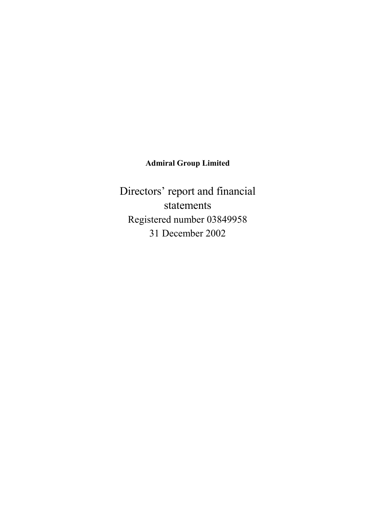# **Admiral Group Limited**

Directors' report and financial statements Registered number 03849958 31 December 2002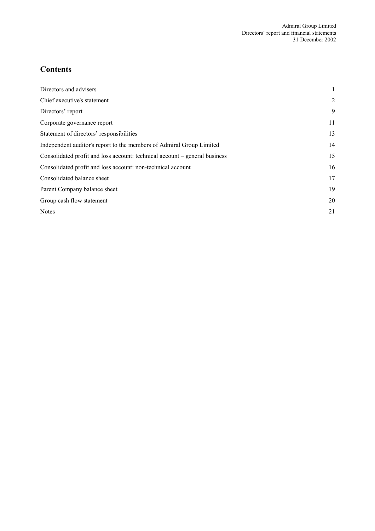# **Contents**

| Directors and advisers                                                     |                |
|----------------------------------------------------------------------------|----------------|
| Chief executive's statement                                                | $\overline{2}$ |
| Directors' report                                                          | 9              |
| Corporate governance report                                                | 11             |
| Statement of directors' responsibilities                                   | 13             |
| Independent auditor's report to the members of Admiral Group Limited       | 14             |
| Consolidated profit and loss account: technical account – general business | 15             |
| Consolidated profit and loss account: non-technical account                | 16             |
| Consolidated balance sheet                                                 | 17             |
| Parent Company balance sheet                                               | 19             |
| Group cash flow statement                                                  | 20             |
| <b>Notes</b>                                                               | 21             |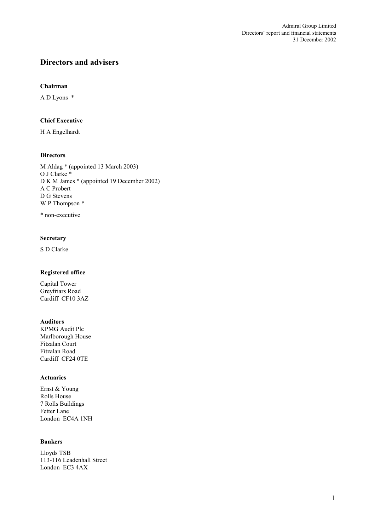# **Directors and advisers**

#### **Chairman**

A D Lyons \*

### **Chief Executive**

H A Engelhardt

### **Directors**

M Aldag \* (appointed 13 March 2003) O J Clarke \* D K M James \* (appointed 19 December 2002) A C Probert D G Stevens W P Thompson \*

\* non-executive

# **Secretary**

S D Clarke

# **Registered office**

Capital Tower Greyfriars Road Cardiff CF10 3AZ

#### **Auditors**

KPMG Audit Plc Marlborough House Fitzalan Court Fitzalan Road Cardiff CF24 0TE

### **Actuaries**

Ernst & Young Rolls House 7 Rolls Buildings Fetter Lane London EC4A 1NH

### **Bankers**

Lloyds TSB 113-116 Leadenhall Street London EC3 4AX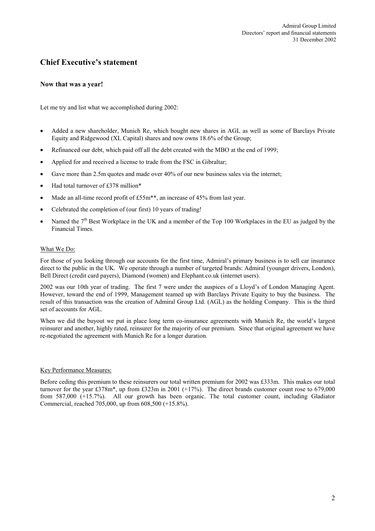# **Chief Executive's statement**

### **Now that was a year!**

Let me try and list what we accomplished during 2002:

- Added a new shareholder, Munich Re, which bought new shares in AGL as well as some of Barclays Private Equity and Ridgewood (XL Capital) shares and now owns 18.6% of the Group;
- Refinanced our debt, which paid off all the debt created with the MBO at the end of 1999;
- Applied for and received a license to trade from the FSC in Gibraltar;
- Gave more than 2.5m quotes and made over 40% of our new business sales via the internet;
- Had total turnover of £378 million\*
- Made an all-time record profit of £55m<sup>\*\*</sup>, an increase of 45% from last year.
- Celebrated the completion of (our first) 10 years of trading!
- Named the 7<sup>th</sup> Best Workplace in the UK and a member of the Top 100 Workplaces in the EU as judged by the Financial Times.

#### What We Do:

For those of you looking through our accounts for the first time, Admiral's primary business is to sell car insurance direct to the public in the UK. We operate through a number of targeted brands: Admiral (younger drivers, London), Bell Direct (credit card payers), Diamond (women) and Elephant.co.uk (internet users).

2002 was our 10th year of trading. The first 7 were under the auspices of a Lloyd's of London Managing Agent. However, toward the end of 1999, Management teamed up with Barclays Private Equity to buy the business. The result of this transaction was the creation of Admiral Group Ltd. (AGL) as the holding Company. This is the third set of accounts for AGL.

When we did the buyout we put in place long term co-insurance agreements with Munich Re, the world's largest reinsurer and another, highly rated, reinsurer for the majority of our premium. Since that original agreement we have re-negotiated the agreement with Munich Re for a longer duration.

#### Key Performance Measures:

Before ceding this premium to these reinsurers our total written premium for 2002 was £333m. This makes our total turnover for the year £378m\*, up from £323m in 2001 (+17%). The direct brands customer count rose to 679,000 from 587,000 (+15.7%). All our growth has been organic. The total customer count, including Gladiator Commercial, reached 705,000, up from 608,500 (+15.8%).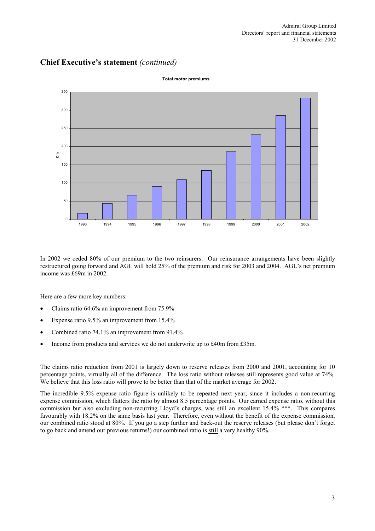

In 2002 we ceded 80% of our premium to the two reinsurers. Our reinsurance arrangements have been slightly restructured going forward and AGL will hold 25% of the premium and risk for 2003 and 2004. AGL's net premium income was £69m in 2002.

Here are a few more key numbers:

- Claims ratio 64.6% an improvement from 75.9%
- Expense ratio 9.5% an improvement from 15.4%
- Combined ratio 74.1% an improvement from 91.4%
- Income from products and services we do not underwrite up to £40m from £35m.

The claims ratio reduction from 2001 is largely down to reserve releases from 2000 and 2001, accounting for 10 percentage points, virtually all of the difference. The loss ratio without releases still represents good value at 74%. We believe that this loss ratio will prove to be better than that of the market average for 2002.

The incredible 9.5% expense ratio figure is unlikely to be repeated next year, since it includes a non-recurring expense commission, which flatters the ratio by almost 8.5 percentage points. Our earned expense ratio, without this commission but also excluding non-recurring Lloyd's charges, was still an excellent 15.4% \*\*\*. This compares favourably with 18.2% on the same basis last year. Therefore, even without the benefit of the expense commission, our combined ratio stood at 80%. If you go a step further and back-out the reserve releases (but please don't forget to go back and amend our previous returns!) our combined ratio is still a very healthy 90%.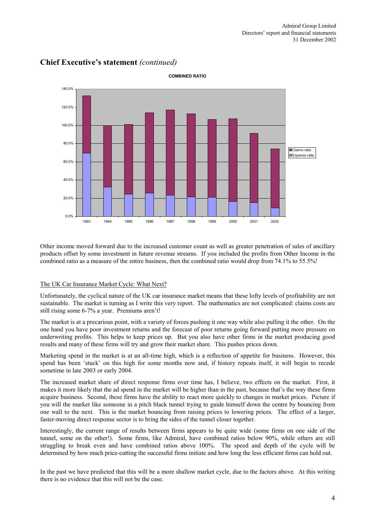

Other income moved forward due to the increased customer count as well as greater penetration of sales of ancillary products offset by some investment in future revenue streams. If you included the profits from Other Income in the combined ratio as a measure of the entire business, then the combined ratio would drop from 74.1% to 55.5%!

### The UK Car Insurance Market Cycle: What Next?

Unfortunately, the cyclical nature of the UK car insurance market means that these lofty levels of profitability are not sustainable. The market is turning as I write this very report. The mathematics are not complicated: claims costs are still rising some 6-7% a year. Premiums aren't!

The market is at a precarious point, with a variety of forces pushing it one way while also pulling it the other. On the one hand you have poor investment returns and the forecast of poor returns going forward putting more pressure on underwriting profits. This helps to keep prices up. But you also have other firms in the market producing good results and many of these firms will try and grow their market share. This pushes prices down.

Marketing spend in the market is at an all-time high, which is a reflection of appetite for business. However, this spend has been 'stuck' on this high for some months now and, if history repeats itself, it will begin to recede sometime in late 2003 or early 2004.

The increased market share of direct response firms over time has, I believe, two effects on the market. First, it makes it more likely that the ad spend in the market will be higher than in the past, because that's the way these firms acquire business. Second, these firms have the ability to react more quickly to changes in market prices. Picture if you will the market like someone in a pitch black tunnel trying to guide himself down the centre by bouncing from one wall to the next. This is the market bouncing from raising prices to lowering prices. The effect of a larger, faster-moving direct response sector is to bring the sides of the tunnel closer together.

Interestingly, the current range of results between firms appears to be quite wide (some firms on one side of the tunnel, some on the other!). Some firms, like Admiral, have combined ratios below 90%, while others are still struggling to break even and have combined ratios above 100%. The speed and depth of the cycle will be determined by how much price-cutting the successful firms initiate and how long the less efficient firms can hold out.

In the past we have predicted that this will be a more shallow market cycle, due to the factors above. At this writing there is no evidence that this will not be the case.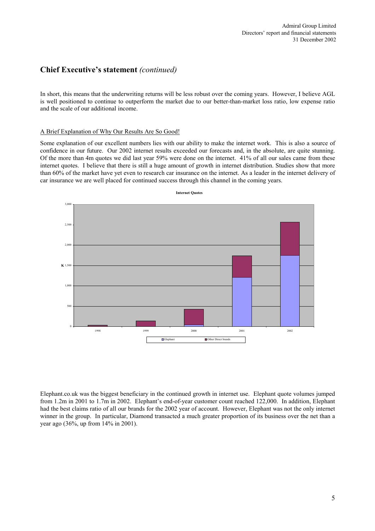In short, this means that the underwriting returns will be less robust over the coming years. However, I believe AGL is well positioned to continue to outperform the market due to our better-than-market loss ratio, low expense ratio and the scale of our additional income.

#### A Brief Explanation of Why Our Results Are So Good!

Some explanation of our excellent numbers lies with our ability to make the internet work. This is also a source of confidence in our future. Our 2002 internet results exceeded our forecasts and, in the absolute, are quite stunning. Of the more than 4m quotes we did last year 59% were done on the internet. 41% of all our sales came from these internet quotes. I believe that there is still a huge amount of growth in internet distribution. Studies show that more than 60% of the market have yet even to research car insurance on the internet. As a leader in the internet delivery of car insurance we are well placed for continued success through this channel in the coming years.



Elephant.co.uk was the biggest beneficiary in the continued growth in internet use. Elephant quote volumes jumped from 1.2m in 2001 to 1.7m in 2002. Elephant's end-of-year customer count reached 122,000. In addition, Elephant had the best claims ratio of all our brands for the 2002 year of account. However, Elephant was not the only internet winner in the group. In particular, Diamond transacted a much greater proportion of its business over the net than a year ago (36%, up from 14% in 2001).

**Internet Quotes**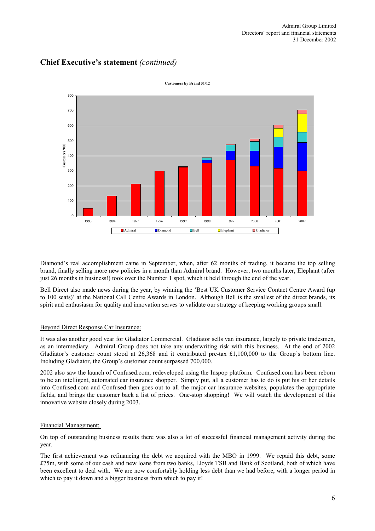

Diamond's real accomplishment came in September, when, after 62 months of trading, it became the top selling brand, finally selling more new policies in a month than Admiral brand. However, two months later, Elephant (after just 26 months in business!) took over the Number 1 spot, which it held through the end of the year.

Bell Direct also made news during the year, by winning the 'Best UK Customer Service Contact Centre Award (up to 100 seats)' at the National Call Centre Awards in London. Although Bell is the smallest of the direct brands, its spirit and enthusiasm for quality and innovation serves to validate our strategy of keeping working groups small.

### Beyond Direct Response Car Insurance:

It was also another good year for Gladiator Commercial. Gladiator sells van insurance, largely to private tradesmen, as an intermediary. Admiral Group does not take any underwriting risk with this business. At the end of 2002 Gladiator's customer count stood at 26,368 and it contributed pre-tax £1,100,000 to the Group's bottom line. Including Gladiator, the Group's customer count surpassed 700,000.

2002 also saw the launch of Confused.com, redeveloped using the Inspop platform. Confused.com has been reborn to be an intelligent, automated car insurance shopper. Simply put, all a customer has to do is put his or her details into Confused.com and Confused then goes out to all the major car insurance websites, populates the appropriate fields, and brings the customer back a list of prices. One-stop shopping! We will watch the development of this innovative website closely during 2003.

#### Financial Management:

On top of outstanding business results there was also a lot of successful financial management activity during the year.

The first achievement was refinancing the debt we acquired with the MBO in 1999. We repaid this debt, some £75m, with some of our cash and new loans from two banks, Lloyds TSB and Bank of Scotland, both of which have been excellent to deal with. We are now comfortably holding less debt than we had before, with a longer period in which to pay it down and a bigger business from which to pay it!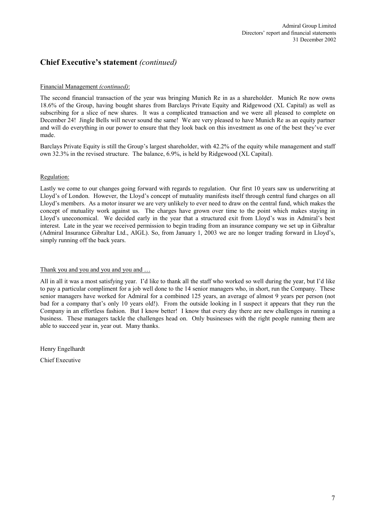### Financial Management *(continued)*:

The second financial transaction of the year was bringing Munich Re in as a shareholder. Munich Re now owns 18.6% of the Group, having bought shares from Barclays Private Equity and Ridgewood (XL Capital) as well as subscribing for a slice of new shares. It was a complicated transaction and we were all pleased to complete on December 24! Jingle Bells will never sound the same! We are very pleased to have Munich Re as an equity partner and will do everything in our power to ensure that they look back on this investment as one of the best they've ever made.

Barclays Private Equity is still the Group's largest shareholder, with 42.2% of the equity while management and staff own 32.3% in the revised structure. The balance, 6.9%, is held by Ridgewood (XL Capital).

#### Regulation:

Lastly we come to our changes going forward with regards to regulation. Our first 10 years saw us underwriting at Lloyd's of London. However, the Lloyd's concept of mutuality manifests itself through central fund charges on all Lloyd's members. As a motor insurer we are very unlikely to ever need to draw on the central fund, which makes the concept of mutuality work against us. The charges have grown over time to the point which makes staying in Lloyd's uneconomical. We decided early in the year that a structured exit from Lloyd's was in Admiral's best interest. Late in the year we received permission to begin trading from an insurance company we set up in Gibraltar (Admiral Insurance Gibraltar Ltd., AIGL). So, from January 1, 2003 we are no longer trading forward in Lloyd's, simply running off the back years.

#### Thank you and you and you and you and ...

All in all it was a most satisfying year. I'd like to thank all the staff who worked so well during the year, but I'd like to pay a particular compliment for a job well done to the 14 senior managers who, in short, run the Company. These senior managers have worked for Admiral for a combined 125 years, an average of almost 9 years per person (not bad for a company that's only 10 years old!). From the outside looking in I suspect it appears that they run the Company in an effortless fashion. But I know better! I know that every day there are new challenges in running a business. These managers tackle the challenges head on. Only businesses with the right people running them are able to succeed year in, year out. Many thanks.

Henry Engelhardt Chief Executive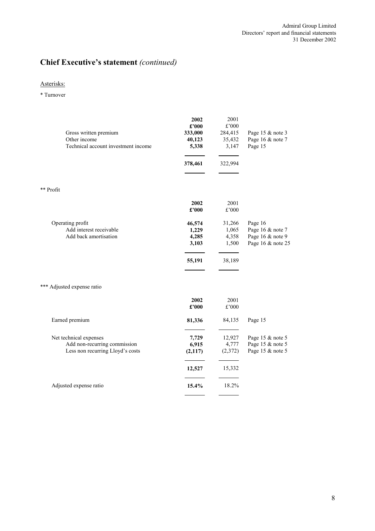# Asterisks:

\* Turnover

| Gross written premium<br>Other income<br>Technical account investment income               | 2002<br>£'000<br>333,000<br>40,123<br>5,338<br>378,461 | 2001<br>£'000<br>284,415<br>35,432<br>3,147<br>322,994 | Page 15 & note 3<br>Page 16 & note 7<br>Page 15                      |
|--------------------------------------------------------------------------------------------|--------------------------------------------------------|--------------------------------------------------------|----------------------------------------------------------------------|
| ** Profit                                                                                  |                                                        |                                                        |                                                                      |
|                                                                                            | 2002<br>£'000                                          | 2001<br>£'000                                          |                                                                      |
| Operating profit<br>Add interest receivable<br>Add back amortisation                       | 46,574<br>1,229<br>4,285<br>3,103                      | 31,266<br>1,065<br>4,358<br>1,500                      | Page 16<br>Page 16 & note 7<br>Page 16 & note 9<br>Page 16 & note 25 |
|                                                                                            | 55,191                                                 | 38,189                                                 |                                                                      |
| *** Adjusted expense ratio                                                                 |                                                        |                                                        |                                                                      |
|                                                                                            | 2002<br>£'000                                          | 2001<br>$\pounds$ '000                                 |                                                                      |
| Earned premium                                                                             | 81,336                                                 | 84,135                                                 | Page 15                                                              |
| Net technical expenses<br>Add non-recurring commission<br>Less non recurring Lloyd's costs | 7,729<br>6,915<br>(2,117)                              | 12,927<br>4,777<br>(2,372)                             | Page 15 & note 5<br>Page 15 & note 5<br>Page 15 & note 5             |
|                                                                                            | 12,527                                                 | 15,332                                                 |                                                                      |
| Adjusted expense ratio                                                                     | 15.4%                                                  | 18.2%                                                  |                                                                      |
|                                                                                            |                                                        |                                                        |                                                                      |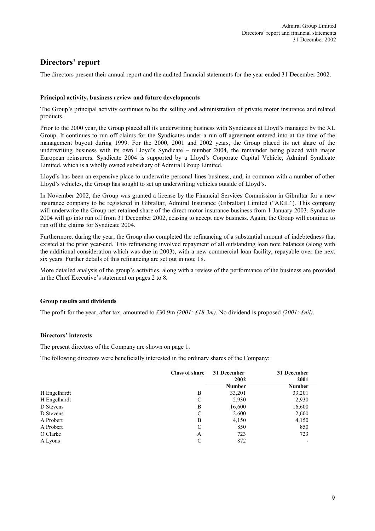# **Directors' report**

The directors present their annual report and the audited financial statements for the year ended 31 December 2002.

### **Principal activity, business review and future developments**

The Group's principal activity continues to be the selling and administration of private motor insurance and related products.

Prior to the 2000 year, the Group placed all its underwriting business with Syndicates at Lloyd's managed by the XL Group. It continues to run off claims for the Syndicates under a run off agreement entered into at the time of the management buyout during 1999. For the 2000, 2001 and 2002 years, the Group placed its net share of the underwriting business with its own Lloyd's Syndicate – number 2004, the remainder being placed with major European reinsurers. Syndicate 2004 is supported by a Lloyd's Corporate Capital Vehicle, Admiral Syndicate Limited, which is a wholly owned subsidiary of Admiral Group Limited.

Lloyd's has been an expensive place to underwrite personal lines business, and, in common with a number of other Lloyd's vehicles, the Group has sought to set up underwriting vehicles outside of Lloyd's.

In November 2002, the Group was granted a license by the Financial Services Commission in Gibraltar for a new insurance company to be registered in Gibraltar, Admiral Insurance (Gibraltar) Limited ("AIGL"). This company will underwrite the Group net retained share of the direct motor insurance business from 1 January 2003. Syndicate 2004 will go into run off from 31 December 2002, ceasing to accept new business. Again, the Group will continue to run off the claims for Syndicate 2004.

Furthermore, during the year, the Group also completed the refinancing of a substantial amount of indebtedness that existed at the prior year-end. This refinancing involved repayment of all outstanding loan note balances (along with the additional consideration which was due in 2003), with a new commercial loan facility, repayable over the next six years. Further details of this refinancing are set out in note 18.

More detailed analysis of the group's activities, along with a review of the performance of the business are provided in the Chief Executive's statement on pages 2 to 8**.**

#### **Group results and dividends**

The profit for the year, after tax, amounted to £30.9m *(2001: £18.3m)*. No dividend is proposed *(2001: £nil)*.

#### **Directors' interests**

The present directors of the Company are shown on page 1.

The following directors were beneficially interested in the ordinary shares of the Company:

|              | <b>Class of share</b> | 31 December<br>2002 | 31 December<br>2001 |
|--------------|-----------------------|---------------------|---------------------|
|              |                       | <b>Number</b>       | <b>Number</b>       |
| H Engelhardt | B                     | 33,201              | 33,201              |
| H Engelhardt | C                     | 2,930               | 2,930               |
| D Stevens    | B                     | 16,600              | 16,600              |
| D Stevens    | C                     | 2,600               | 2,600               |
| A Probert    | B                     | 4,150               | 4,150               |
| A Probert    | C                     | 850                 | 850                 |
| O Clarke     | A                     | 723                 | 723                 |
| A Lyons      | C                     | 872                 |                     |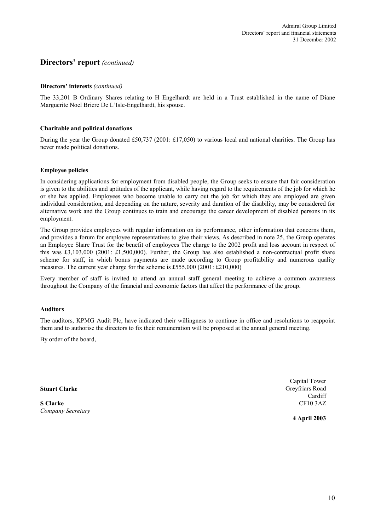# **Directors' report** *(continued)*

#### **Directors' interests** *(continued)*

The 33,201 B Ordinary Shares relating to H Engelhardt are held in a Trust established in the name of Diane Marguerite Noel Briere De L'Isle-Engelhardt, his spouse.

#### **Charitable and political donations**

During the year the Group donated £50,737 (2001: £17,050) to various local and national charities. The Group has never made political donations.

#### **Employee policies**

In considering applications for employment from disabled people, the Group seeks to ensure that fair consideration is given to the abilities and aptitudes of the applicant, while having regard to the requirements of the job for which he or she has applied. Employees who become unable to carry out the job for which they are employed are given individual consideration, and depending on the nature, severity and duration of the disability, may be considered for alternative work and the Group continues to train and encourage the career development of disabled persons in its employment.

The Group provides employees with regular information on its performance, other information that concerns them, and provides a forum for employee representatives to give their views. As described in note 25, the Group operates an Employee Share Trust for the benefit of employees The charge to the 2002 profit and loss account in respect of this was £3,103,000 (2001: £1,500,000). Further, the Group has also established a non-contractual profit share scheme for staff, in which bonus payments are made according to Group profitability and numerous quality measures. The current year charge for the scheme is £555,000 (2001: £210,000)

Every member of staff is invited to attend an annual staff general meeting to achieve a common awareness throughout the Company of the financial and economic factors that affect the performance of the group.

#### **Auditors**

The auditors, KPMG Audit Plc, have indicated their willingness to continue in office and resolutions to reappoint them and to authorise the directors to fix their remuneration will be proposed at the annual general meeting.

By order of the board,

**Stuart Clarke**

**S Clarke** *Company Secretary*

Capital Tower Greyfriars Road Cardiff CF10 3AZ

**4 April 2003**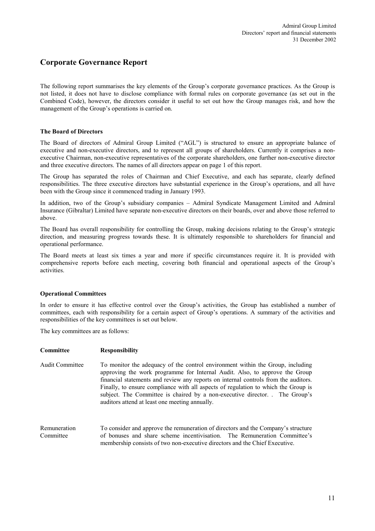# **Corporate Governance Report**

The following report summarises the key elements of the Group's corporate governance practices. As the Group is not listed, it does not have to disclose compliance with formal rules on corporate governance (as set out in the Combined Code), however, the directors consider it useful to set out how the Group manages risk, and how the management of the Group's operations is carried on.

#### **The Board of Directors**

The Board of directors of Admiral Group Limited ("AGL") is structured to ensure an appropriate balance of executive and non-executive directors, and to represent all groups of shareholders. Currently it comprises a nonexecutive Chairman, non-executive representatives of the corporate shareholders, one further non-executive director and three executive directors. The names of all directors appear on page 1 of this report.

The Group has separated the roles of Chairman and Chief Executive, and each has separate, clearly defined responsibilities. The three executive directors have substantial experience in the Group's operations, and all have been with the Group since it commenced trading in January 1993.

In addition, two of the Group's subsidiary companies – Admiral Syndicate Management Limited and Admiral Insurance (Gibraltar) Limited have separate non-executive directors on their boards, over and above those referred to above.

The Board has overall responsibility for controlling the Group, making decisions relating to the Group's strategic direction, and measuring progress towards these. It is ultimately responsible to shareholders for financial and operational performance.

The Board meets at least six times a year and more if specific circumstances require it. It is provided with comprehensive reports before each meeting, covering both financial and operational aspects of the Group's activities.

### **Operational Committees**

In order to ensure it has effective control over the Group's activities, the Group has established a number of committees, each with responsibility for a certain aspect of Group's operations. A summary of the activities and responsibilities of the key committees is set out below.

The key committees are as follows:

| Committee                 | <b>Responsibility</b>                                                                                                                                                                                                                                                                                                                                                                                                                                                      |
|---------------------------|----------------------------------------------------------------------------------------------------------------------------------------------------------------------------------------------------------------------------------------------------------------------------------------------------------------------------------------------------------------------------------------------------------------------------------------------------------------------------|
| Audit Committee           | To monitor the adequacy of the control environment within the Group, including<br>approving the work programme for Internal Audit. Also, to approve the Group<br>financial statements and review any reports on internal controls from the auditors.<br>Finally, to ensure compliance with all aspects of regulation to which the Group is<br>subject. The Committee is chaired by a non-executive director. The Group's<br>auditors attend at least one meeting annually. |
| Remuneration<br>Committee | To consider and approve the remuneration of directors and the Company's structure<br>of bonuses and share scheme incentivisation. The Remuneration Committee's<br>membership consists of two non-executive directors and the Chief Executive.                                                                                                                                                                                                                              |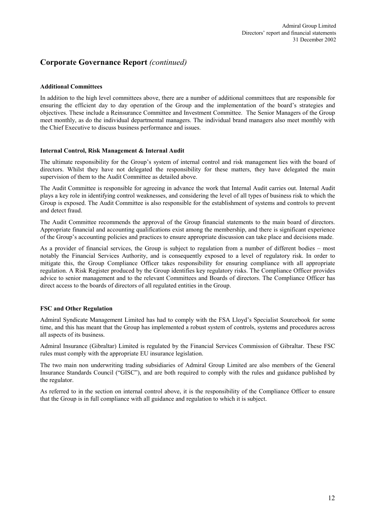# **Corporate Governance Report** *(continued)*

#### **Additional Committees**

In addition to the high level committees above, there are a number of additional committees that are responsible for ensuring the efficient day to day operation of the Group and the implementation of the board's strategies and objectives. These include a Reinsurance Committee and Investment Committee. The Senior Managers of the Group meet monthly, as do the individual departmental managers. The individual brand managers also meet monthly with the Chief Executive to discuss business performance and issues.

#### **Internal Control, Risk Management & Internal Audit**

The ultimate responsibility for the Group's system of internal control and risk management lies with the board of directors. Whilst they have not delegated the responsibility for these matters, they have delegated the main supervision of them to the Audit Committee as detailed above.

The Audit Committee is responsible for agreeing in advance the work that Internal Audit carries out. Internal Audit plays a key role in identifying control weaknesses, and considering the level of all types of business risk to which the Group is exposed. The Audit Committee is also responsible for the establishment of systems and controls to prevent and detect fraud.

The Audit Committee recommends the approval of the Group financial statements to the main board of directors. Appropriate financial and accounting qualifications exist among the membership, and there is significant experience of the Group's accounting policies and practices to ensure appropriate discussion can take place and decisions made.

As a provider of financial services, the Group is subject to regulation from a number of different bodies – most notably the Financial Services Authority, and is consequently exposed to a level of regulatory risk. In order to mitigate this, the Group Compliance Officer takes responsibility for ensuring compliance with all appropriate regulation. A Risk Register produced by the Group identifies key regulatory risks. The Compliance Officer provides advice to senior management and to the relevant Committees and Boards of directors. The Compliance Officer has direct access to the boards of directors of all regulated entities in the Group.

### **FSC and Other Regulation**

Admiral Syndicate Management Limited has had to comply with the FSA Lloyd's Specialist Sourcebook for some time, and this has meant that the Group has implemented a robust system of controls, systems and procedures across all aspects of its business.

Admiral Insurance (Gibraltar) Limited is regulated by the Financial Services Commission of Gibraltar. These FSC rules must comply with the appropriate EU insurance legislation.

The two main non underwriting trading subsidiaries of Admiral Group Limited are also members of the General Insurance Standards Council ("GISC"), and are both required to comply with the rules and guidance published by the regulator.

As referred to in the section on internal control above, it is the responsibility of the Compliance Officer to ensure that the Group is in full compliance with all guidance and regulation to which it is subject.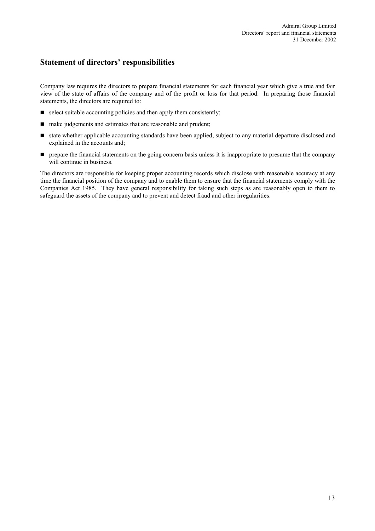# **Statement of directors' responsibilities**

Company law requires the directors to prepare financial statements for each financial year which give a true and fair view of the state of affairs of the company and of the profit or loss for that period. In preparing those financial statements, the directors are required to:

- $\blacksquare$  select suitable accounting policies and then apply them consistently;
- make judgements and estimates that are reasonable and prudent;
- state whether applicable accounting standards have been applied, subject to any material departure disclosed and explained in the accounts and;
- **P** prepare the financial statements on the going concern basis unless it is inappropriate to presume that the company will continue in business.

The directors are responsible for keeping proper accounting records which disclose with reasonable accuracy at any time the financial position of the company and to enable them to ensure that the financial statements comply with the Companies Act 1985. They have general responsibility for taking such steps as are reasonably open to them to safeguard the assets of the company and to prevent and detect fraud and other irregularities.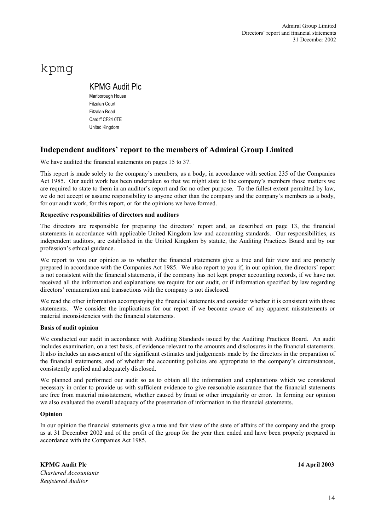# kpmg

# KPMG Audit Plc

Marlborough House Fitzalan Court Fitzalan Road Cardiff CF24 0TE United Kingdom

# **Independent auditors' report to the members of Admiral Group Limited**

We have audited the financial statements on pages 15 to 37.

This report is made solely to the company's members, as a body, in accordance with section 235 of the Companies Act 1985. Our audit work has been undertaken so that we might state to the company's members those matters we are required to state to them in an auditor's report and for no other purpose. To the fullest extent permitted by law, we do not accept or assume responsibility to anyone other than the company and the company's members as a body, for our audit work, for this report, or for the opinions we have formed.

#### **Respective responsibilities of directors and auditors**

The directors are responsible for preparing the directors' report and, as described on page 13, the financial statements in accordance with applicable United Kingdom law and accounting standards. Our responsibilities, as independent auditors, are established in the United Kingdom by statute, the Auditing Practices Board and by our profession's ethical guidance.

We report to you our opinion as to whether the financial statements give a true and fair view and are properly prepared in accordance with the Companies Act 1985. We also report to you if, in our opinion, the directors' report is not consistent with the financial statements, if the company has not kept proper accounting records, if we have not received all the information and explanations we require for our audit, or if information specified by law regarding directors' remuneration and transactions with the company is not disclosed.

We read the other information accompanying the financial statements and consider whether it is consistent with those statements. We consider the implications for our report if we become aware of any apparent misstatements or material inconsistencies with the financial statements.

#### **Basis of audit opinion**

We conducted our audit in accordance with Auditing Standards issued by the Auditing Practices Board. An audit includes examination, on a test basis, of evidence relevant to the amounts and disclosures in the financial statements. It also includes an assessment of the significant estimates and judgements made by the directors in the preparation of the financial statements, and of whether the accounting policies are appropriate to the company's circumstances, consistently applied and adequately disclosed.

We planned and performed our audit so as to obtain all the information and explanations which we considered necessary in order to provide us with sufficient evidence to give reasonable assurance that the financial statements are free from material misstatement, whether caused by fraud or other irregularity or error. In forming our opinion we also evaluated the overall adequacy of the presentation of information in the financial statements.

### **Opinion**

In our opinion the financial statements give a true and fair view of the state of affairs of the company and the group as at 31 December 2002 and of the profit of the group for the year then ended and have been properly prepared in accordance with the Companies Act 1985.

**KPMG Audit Plc 14 April 2003** *Chartered Accountants Registered Auditor*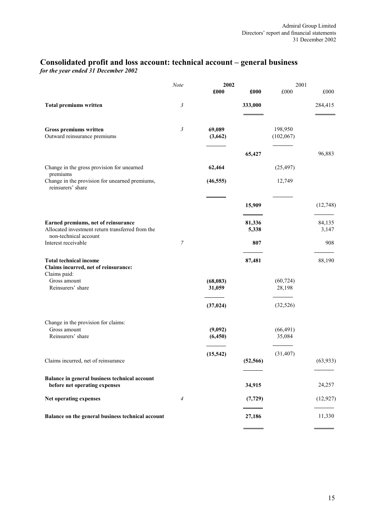# **Consolidated profit and loss account: technical account – general business**

*for the year ended 31 December 2002* 

|                                                                                       | Note           | 2002                |           | 2001                 |           |
|---------------------------------------------------------------------------------------|----------------|---------------------|-----------|----------------------|-----------|
|                                                                                       |                | £000                | £000      | £000                 | £000      |
| <b>Total premiums written</b>                                                         | 3              |                     | 333,000   |                      | 284,415   |
| Gross premiums written<br>Outward reinsurance premiums                                | $\mathfrak{Z}$ | 69,089<br>(3,662)   |           | 198,950<br>(102,067) |           |
|                                                                                       |                |                     | 65,427    |                      | 96,883    |
| Change in the gross provision for unearned<br>premiums                                |                | 62,464              |           | (25, 497)            |           |
| Change in the provision for unearned premiums,<br>reinsurers' share                   |                | (46, 555)           |           | 12,749               |           |
|                                                                                       |                |                     | 15,909    |                      | (12, 748) |
| Earned premiums, net of reinsurance                                                   |                |                     | 81,336    |                      | 84,135    |
| Allocated investment return transferred from the<br>non-technical account             |                |                     | 5,338     |                      | 3,147     |
| Interest receivable                                                                   | $\overline{7}$ |                     | 807       |                      | 908       |
| <b>Total technical income</b><br>Claims incurred, net of reinsurance:<br>Claims paid: |                |                     | 87,481    |                      | 88,190    |
| Gross amount<br>Reinsurers' share                                                     |                | (68, 083)<br>31,059 |           | (60, 724)<br>28,198  |           |
|                                                                                       |                | (37, 024)           |           | (32, 526)            |           |
| Change in the provision for claims:<br>Gross amount<br>Reinsurers' share              |                | (9,092)<br>(6, 450) |           | (66, 491)<br>35,084  |           |
| Claims incurred, net of reinsurance                                                   |                | (15, 542)           | (52, 566) | (31, 407)            | (63, 933) |
| Balance in general business technical account<br>before net operating expenses        |                |                     | 34,915    |                      | 24,257    |
| Net operating expenses                                                                | $\overline{A}$ |                     | (7, 729)  |                      | (12, 927) |
| Balance on the general business technical account                                     |                |                     | 27,186    |                      | 11,330    |
|                                                                                       |                |                     |           |                      |           |

⋍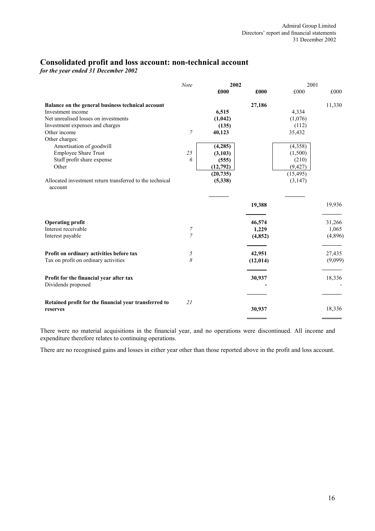# **Consolidated profit and loss account: non-technical account**

*for the year ended 31 December 2002* 

|                                                                     | <b>Note</b>    | 2002      |           | 2001      |         |
|---------------------------------------------------------------------|----------------|-----------|-----------|-----------|---------|
|                                                                     |                | £000      | £000      | £000      | £000    |
| Balance on the general business technical account                   |                |           | 27,186    |           | 11,330  |
| Investment income                                                   |                | 6,515     |           | 4,334     |         |
| Net unrealised losses on investments                                |                | (1,042)   |           | (1,076)   |         |
| Investment expenses and charges                                     |                | (135)     |           | (112)     |         |
| Other income                                                        | $\overline{7}$ | 40,123    |           | 35,432    |         |
| Other charges:                                                      |                |           |           |           |         |
| Amortisation of goodwill                                            |                | (4,285)   |           | (4,358)   |         |
| <b>Employee Share Trust</b>                                         | 25             | (3,103)   |           | (1,500)   |         |
| Staff profit share expense                                          | 6              | (555)     |           | (210)     |         |
| Other                                                               |                | (12,792)  |           | (9, 427)  |         |
|                                                                     |                | (20, 735) |           | (15, 495) |         |
| Allocated investment return transferred to the technical<br>account |                | (5, 338)  |           | (3, 147)  |         |
|                                                                     |                |           |           |           |         |
|                                                                     |                |           | 19,388    |           | 19,936  |
| <b>Operating profit</b>                                             |                |           | 46,574    |           | 31,266  |
| Interest receivable                                                 | 7              |           | 1,229     |           | 1,065   |
| Interest payable                                                    | $\overline{7}$ |           | (4, 852)  |           | (4,896) |
| Profit on ordinary activities before tax                            | 5              |           | 42,951    |           | 27,435  |
| Tax on profit on ordinary activities                                | 8              |           | (12, 014) |           | (9,099) |
| Profit for the financial year after tax<br>Dividends proposed       |                |           | 30,937    |           | 18,336  |
| Retained profit for the financial year transferred to<br>reserves   | 21             |           | 30,937    |           | 18,336  |
|                                                                     |                |           |           |           |         |

There were no material acquisitions in the financial year, and no operations were discontinued. All income and expenditure therefore relates to continuing operations.

There are no recognised gains and losses in either year other than those reported above in the profit and loss account.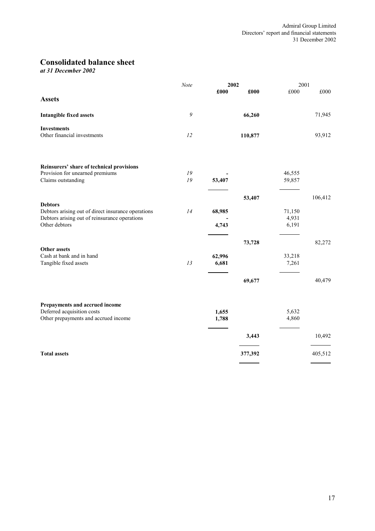# **Consolidated balance sheet**

*at 31 December 2002* 

|                                                                                                                                        | Note         | 2002            |         | 2001                     |         |
|----------------------------------------------------------------------------------------------------------------------------------------|--------------|-----------------|---------|--------------------------|---------|
| <b>Assets</b>                                                                                                                          |              | £000            | £000    | £000                     | £000    |
| <b>Intangible fixed assets</b>                                                                                                         | 9            |                 | 66,260  |                          | 71,945  |
| <b>Investments</b><br>Other financial investments                                                                                      | 12           |                 | 110,877 |                          | 93,912  |
| Reinsurers' share of technical provisions                                                                                              |              |                 |         |                          |         |
| Provision for unearned premiums<br>Claims outstanding                                                                                  | $19\,$<br>19 | 53,407          |         | 46,555<br>59,857         |         |
|                                                                                                                                        |              |                 | 53,407  |                          | 106,412 |
| <b>Debtors</b><br>Debtors arising out of direct insurance operations<br>Debtors arising out of reinsurance operations<br>Other debtors | 14           | 68,985<br>4,743 |         | 71,150<br>4,931<br>6,191 |         |
|                                                                                                                                        |              |                 | 73,728  |                          | 82,272  |
| Other assets<br>Cash at bank and in hand<br>Tangible fixed assets                                                                      | 13           | 62,996<br>6,681 |         | 33,218<br>7,261          |         |
|                                                                                                                                        |              |                 | 69,677  |                          | 40,479  |
| Prepayments and accrued income<br>Deferred acquisition costs<br>Other prepayments and accrued income                                   |              | 1,655<br>1,788  |         | 5,632<br>4,860           |         |
|                                                                                                                                        |              |                 | 3,443   |                          | 10,492  |
| <b>Total assets</b>                                                                                                                    |              |                 | 377,392 |                          | 405,512 |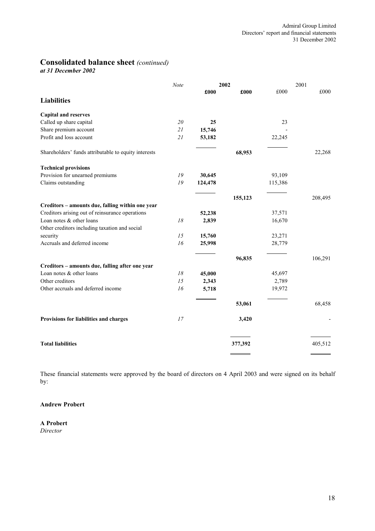# **Consolidated balance sheet** *(continued)*

*at 31 December 2002* 

|                                                      | Note |         | 2002    |         | 2001    |
|------------------------------------------------------|------|---------|---------|---------|---------|
|                                                      |      | £000    | £000    | £000    | £000    |
| <b>Liabilities</b>                                   |      |         |         |         |         |
| <b>Capital and reserves</b>                          |      |         |         |         |         |
| Called up share capital                              | 20   | 25      |         | 23      |         |
| Share premium account                                | 21   | 15,746  |         |         |         |
| Profit and loss account                              | 21   | 53,182  |         | 22,245  |         |
| Shareholders' funds attributable to equity interests |      |         | 68,953  |         | 22,268  |
| <b>Technical provisions</b>                          |      |         |         |         |         |
| Provision for unearned premiums                      | 19   | 30,645  |         | 93,109  |         |
| Claims outstanding                                   | 19   | 124,478 |         | 115,386 |         |
|                                                      |      |         | 155,123 |         | 208,495 |
| Creditors - amounts due, falling within one year     |      |         |         |         |         |
| Creditors arising out of reinsurance operations      |      | 52,238  |         | 37,571  |         |
| Loan notes & other loans                             | 18   | 2,839   |         | 16,670  |         |
| Other creditors including taxation and social        |      |         |         |         |         |
| security                                             | 15   | 15,760  |         | 23,271  |         |
| Accruals and deferred income                         | 16   | 25,998  |         | 28,779  |         |
|                                                      |      |         | 96,835  |         | 106,291 |
| Creditors - amounts due, falling after one year      |      |         |         |         |         |
| Loan notes & other loans                             | 18   | 45,000  |         | 45,697  |         |
| Other creditors                                      | 15   | 2,343   |         | 2,789   |         |
| Other accruals and deferred income                   | 16   | 5,718   |         | 19,972  |         |
|                                                      |      |         | 53,061  |         | 68,458  |
| Provisions for liabilities and charges               | 17   |         | 3,420   |         |         |
|                                                      |      |         |         |         |         |
| <b>Total liabilities</b>                             |      |         | 377,392 |         | 405,512 |
|                                                      |      |         |         |         |         |

These financial statements were approved by the board of directors on 4 April 2003 and were signed on its behalf by:

# **Andrew Probert**

**A Probert** *Director*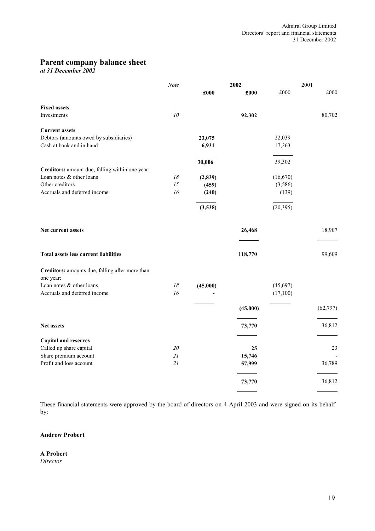# **Parent company balance sheet**

*at 31 December 2002* 

|                                                              | Note          |          | 2002     |           | 2001 |           |
|--------------------------------------------------------------|---------------|----------|----------|-----------|------|-----------|
|                                                              |               | £000     | £000     | £000      |      | £000      |
| <b>Fixed assets</b>                                          |               |          |          |           |      |           |
| Investments                                                  | 10            |          | 92,302   |           |      | 80,702    |
| <b>Current assets</b>                                        |               |          |          |           |      |           |
| Debtors (amounts owed by subsidiaries)                       |               | 23,075   |          | 22,039    |      |           |
| Cash at bank and in hand                                     |               | 6,931    |          | 17,263    |      |           |
|                                                              |               | 30,006   |          | 39,302    |      |           |
| Creditors: amount due, falling within one year:              |               |          |          |           |      |           |
| Loan notes & other loans                                     | $18\,$        | (2, 839) |          | (16, 670) |      |           |
| Other creditors                                              | 15            | (459)    |          | (3,586)   |      |           |
| Accruals and deferred income                                 | 16            | (240)    |          | (139)     |      |           |
|                                                              |               | (3,538)  |          | (20, 395) |      |           |
| Net current assets                                           |               |          | 26,468   |           |      | 18,907    |
| <b>Total assets less current liabilities</b>                 |               |          | 118,770  |           |      | 99,609    |
| Creditors: amounts due, falling after more than<br>one year: |               |          |          |           |      |           |
| Loan notes & other loans                                     | $18\,$        | (45,000) |          | (45, 697) |      |           |
| Accruals and deferred income                                 | 16            |          |          | (17,100)  |      |           |
|                                                              |               |          | (45,000) |           |      | (62, 797) |
| <b>Net assets</b>                                            |               |          | 73,770   |           |      | 36,812    |
| <b>Capital and reserves</b>                                  |               |          |          |           |      |           |
| Called up share capital                                      | $2\mathit{0}$ |          | 25       |           |      | 23        |
| Share premium account                                        | 21            |          | 15,746   |           |      |           |
| Profit and loss account                                      | 21            |          | 57,999   |           |      | 36,789    |
|                                                              |               |          | 73,770   |           |      | 36,812    |
|                                                              |               |          |          |           |      |           |

These financial statements were approved by the board of directors on 4 April 2003 and were signed on its behalf by:

# **Andrew Probert**

**A Probert** *Director*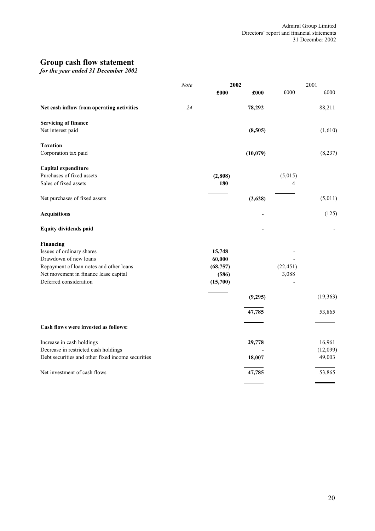# **Group cash flow statement**

*for the year ended 31 December 2002*

|                                                   | Note | 2002      |           |           | 2001      |  |
|---------------------------------------------------|------|-----------|-----------|-----------|-----------|--|
|                                                   |      | £000      | £000      | £000      | £000      |  |
| Net cash inflow from operating activities         | 24   |           | 78,292    |           | 88,211    |  |
| <b>Servicing of finance</b>                       |      |           |           |           |           |  |
| Net interest paid                                 |      |           | (8,505)   |           | (1,610)   |  |
| <b>Taxation</b>                                   |      |           |           |           |           |  |
| Corporation tax paid                              |      |           | (10, 079) |           | (8,237)   |  |
| Capital expenditure                               |      |           |           |           |           |  |
| Purchases of fixed assets                         |      | (2, 808)  |           | (5,015)   |           |  |
| Sales of fixed assets                             |      | 180       |           | 4         |           |  |
| Net purchases of fixed assets                     |      |           | (2,628)   |           | (5,011)   |  |
| <b>Acquisitions</b>                               |      |           |           |           | (125)     |  |
| <b>Equity dividends paid</b>                      |      |           |           |           |           |  |
| Financing                                         |      |           |           |           |           |  |
| Issues of ordinary shares                         |      | 15,748    |           |           |           |  |
| Drawdown of new loans                             |      | 60,000    |           |           |           |  |
| Repayment of loan notes and other loans           |      | (68, 757) |           | (22, 451) |           |  |
| Net movement in finance lease capital             |      | (586)     |           | 3,088     |           |  |
| Deferred consideration                            |      | (15,700)  |           |           |           |  |
|                                                   |      |           | (9,295)   |           | (19, 363) |  |
|                                                   |      |           | 47,785    |           | 53,865    |  |
| Cash flows were invested as follows:              |      |           |           |           |           |  |
| Increase in cash holdings                         |      |           | 29,778    |           | 16,961    |  |
| Decrease in restricted cash holdings              |      |           |           |           | (12,099)  |  |
| Debt securities and other fixed income securities |      |           | 18,007    |           | 49,003    |  |
| Net investment of cash flows                      |      |           | 47,785    |           | 53,865    |  |
|                                                   |      |           |           |           |           |  |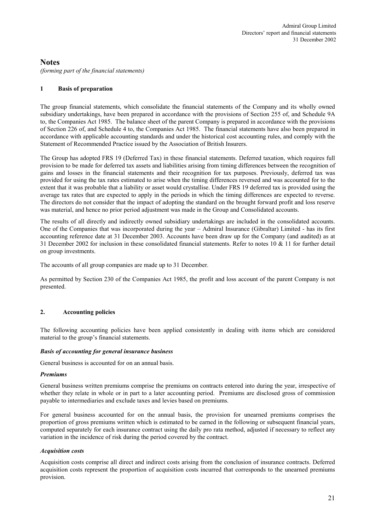# **Notes**

*(forming part of the financial statements)*

# **1 Basis of preparation**

The group financial statements, which consolidate the financial statements of the Company and its wholly owned subsidiary undertakings, have been prepared in accordance with the provisions of Section 255 of, and Schedule 9A to, the Companies Act 1985. The balance sheet of the parent Company is prepared in accordance with the provisions of Section 226 of, and Schedule 4 to, the Companies Act 1985. The financial statements have also been prepared in accordance with applicable accounting standards and under the historical cost accounting rules, and comply with the Statement of Recommended Practice issued by the Association of British Insurers.

The Group has adopted FRS 19 (Deferred Tax) in these financial statements. Deferred taxation, which requires full provision to be made for deferred tax assets and liabilities arising from timing differences between the recognition of gains and losses in the financial statements and their recognition for tax purposes. Previously, deferred tax was provided for using the tax rates estimated to arise when the timing differences reversed and was accounted for to the extent that it was probable that a liability or asset would crystallise. Under FRS 19 deferred tax is provided using the average tax rates that are expected to apply in the periods in which the timing differences are expected to reverse. The directors do not consider that the impact of adopting the standard on the brought forward profit and loss reserve was material, and hence no prior period adjustment was made in the Group and Consolidated accounts.

The results of all directly and indirectly owned subsidiary undertakings are included in the consolidated accounts. One of the Companies that was incorporated during the year – Admiral Insurance (Gibraltar) Limited - has its first accounting reference date at 31 December 2003. Accounts have been draw up for the Company (and audited) as at 31 December 2002 for inclusion in these consolidated financial statements. Refer to notes 10 & 11 for further detail on group investments.

The accounts of all group companies are made up to 31 December.

As permitted by Section 230 of the Companies Act 1985, the profit and loss account of the parent Company is not presented.

### **2. Accounting policies**

The following accounting policies have been applied consistently in dealing with items which are considered material to the group's financial statements.

### *Basis of accounting for general insurance business*

General business is accounted for on an annual basis.

### *Premiums*

General business written premiums comprise the premiums on contracts entered into during the year, irrespective of whether they relate in whole or in part to a later accounting period. Premiums are disclosed gross of commission payable to intermediaries and exclude taxes and levies based on premiums.

For general business accounted for on the annual basis, the provision for unearned premiums comprises the proportion of gross premiums written which is estimated to be earned in the following or subsequent financial years, computed separately for each insurance contract using the daily pro rata method, adjusted if necessary to reflect any variation in the incidence of risk during the period covered by the contract.

#### *Acquisition costs*

Acquisition costs comprise all direct and indirect costs arising from the conclusion of insurance contracts. Deferred acquisition costs represent the proportion of acquisition costs incurred that corresponds to the unearned premiums provision.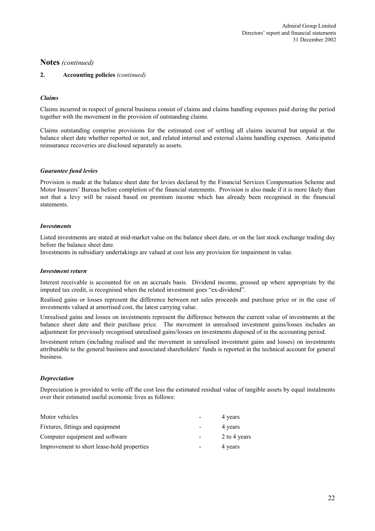#### **2. Accounting policies** *(continued)*

#### *Claims*

Claims incurred in respect of general business consist of claims and claims handling expenses paid during the period together with the movement in the provision of outstanding claims.

Claims outstanding comprise provisions for the estimated cost of settling all claims incurred but unpaid at the balance sheet date whether reported or not, and related internal and external claims handling expenses. Anticipated reinsurance recoveries are disclosed separately as assets.

#### *Guarantee fund levies*

Provision is made at the balance sheet date for levies declared by the Financial Services Compensation Scheme and Motor Insurers' Bureau before completion of the financial statements. Provision is also made if it is more likely than not that a levy will be raised based on premium income which has already been recognised in the financial statements.

#### *Investments*

Listed investments are stated at mid-market value on the balance sheet date, or on the last stock exchange trading day before the balance sheet date.

Investments in subsidiary undertakings are valued at cost less any provision for impairment in value.

#### *Investment return*

Interest receivable is accounted for on an accruals basis. Dividend income, grossed up where appropriate by the imputed tax credit, is recognised when the related investment goes "ex-dividend".

Realised gains or losses represent the difference between net sales proceeds and purchase price or in the case of investments valued at amortised cost, the latest carrying value.

Unrealised gains and losses on investments represent the difference between the current value of investments at the balance sheet date and their purchase price. The movement in unrealised investment gains/losses includes an adjustment for previously recognised unrealised gains/losses on investments disposed of in the accounting period.

Investment return (including realised and the movement in unrealised investment gains and losses) on investments attributable to the general business and associated shareholders' funds is reported in the technical account for general business.

#### *Depreciation*

Depreciation is provided to write off the cost less the estimated residual value of tangible assets by equal instalments over their estimated useful economic lives as follows:

| Motor vehicles                             |                          | 4 years      |
|--------------------------------------------|--------------------------|--------------|
| Fixtures, fittings and equipment           | $\overline{\phantom{0}}$ | 4 years      |
| Computer equipment and software            |                          | 2 to 4 years |
| Improvement to short lease-hold properties |                          | 4 years      |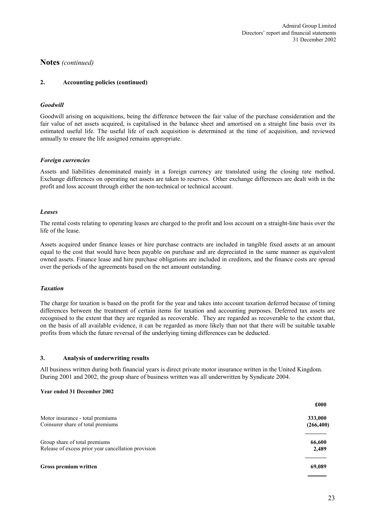#### **2. Accounting policies (continued)**

#### *Goodwill*

Goodwill arising on acquisitions, being the difference between the fair value of the purchase consideration and the fair value of net assets acquired, is capitalised in the balance sheet and amortised on a straight line basis over its estimated useful life. The useful life of each acquisition is determined at the time of acquisition, and reviewed annually to ensure the life assigned remains appropriate.

#### *Foreign currencies*

Assets and liabilities denominated mainly in a foreign currency are translated using the closing rate method. Exchange differences on operating net assets are taken to reserves. Other exchange differences are dealt with in the profit and loss account through either the non-technical or technical account.

#### *Leases*

The rental costs relating to operating leases are charged to the profit and loss account on a straight-line basis over the life of the lease.

Assets acquired under finance leases or hire purchase contracts are included in tangible fixed assets at an amount equal to the cost that would have been payable on purchase and are depreciated in the same manner as equivalent owned assets. Finance lease and hire purchase obligations are included in creditors, and the finance costs are spread over the periods of the agreements based on the net amount outstanding.

#### *Taxation*

The charge for taxation is based on the profit for the year and takes into account taxation deferred because of timing differences between the treatment of certain items for taxation and accounting purposes. Deferred tax assets are recognised to the extent that they are regarded as recoverable. They are regarded as recoverable to the extent that, on the basis of all available evidence, it can be regarded as more likely than not that there will be suitable taxable profits from which the future reversal of the underlying timing differences can be deducted.

#### **3. Analysis of underwriting results**

All business written during both financial years is direct private motor insurance written in the United Kingdom. During 2001 and 2002, the group share of business written was all underwritten by Syndicate 2004.

#### **Year ended 31 December 2002**

|                                                     | £000       |
|-----------------------------------------------------|------------|
| Motor insurance - total premiums                    | 333,000    |
| Coinsurer share of total premiums                   | (266, 400) |
| Group share of total premiums                       | 66,600     |
| Release of excess prior year cancellation provision | 2,489      |
| Gross premium written                               | 69,089     |
|                                                     |            |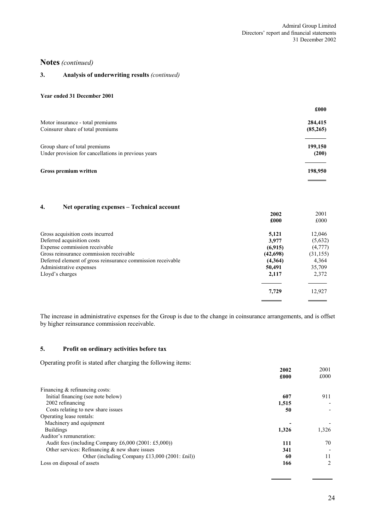#### **3. Analysis of underwriting results** *(continued)*

#### **Year ended 31 December 2001**

|                                                     | £000     |
|-----------------------------------------------------|----------|
| Motor insurance - total premiums                    | 284,415  |
| Coinsurer share of total premiums                   | (85,265) |
| Group share of total premiums                       | 199,150  |
| Under provision for cancellations in previous years | (200)    |
| <b>Gross premium written</b>                        | 198,950  |

# **4. Net operating expenses – Technical account**

|                                                             | 2002     | 2001      |
|-------------------------------------------------------------|----------|-----------|
|                                                             | £000     | £000      |
| Gross acquisition costs incurred                            | 5,121    | 12,046    |
| Deferred acquisition costs                                  | 3,977    | (5,632)   |
| Expense commission receivable                               | (6,915)  | (4,777)   |
| Gross reinsurance commission receivable                     | (42,698) | (31, 155) |
| Deferred element of gross reinsurance commission receivable | (4,364)  | 4,364     |
| Administrative expenses                                     | 50.491   | 35,709    |
| Lloyd's charges                                             | 2,117    | 2,372     |
|                                                             | 7,729    | 12,927    |
|                                                             |          |           |

The increase in administrative expenses for the Group is due to the change in coinsurance arrangements, and is offset by higher reinsurance commission receivable.

#### **5. Profit on ordinary activities before tax**

Operating profit is stated after charging the following items:

|                                                         | 2002  | 2001  |
|---------------------------------------------------------|-------|-------|
|                                                         | £000  | £000  |
| Financing $&$ refinancing costs:                        |       |       |
| Initial financing (see note below)                      | 607   | 911   |
| 2002 refinancing                                        | 1,515 |       |
| Costs relating to new share issues                      | 50    |       |
| Operating lease rentals:                                |       |       |
| Machinery and equipment                                 |       |       |
| <b>Buildings</b>                                        | 1.326 | 1,326 |
| Auditor's remuneration:                                 |       |       |
| Audit fees (including Company $£6,000 (2001; £5,000)$ ) | 111   | 70    |
| Other services: Refinancing $\&$ new share issues       | 341   |       |
| Other (including Company £13,000 (2001: £nil))          | 60    | 11    |
| Loss on disposal of assets                              | 166   | 2     |

 $\overline{a}$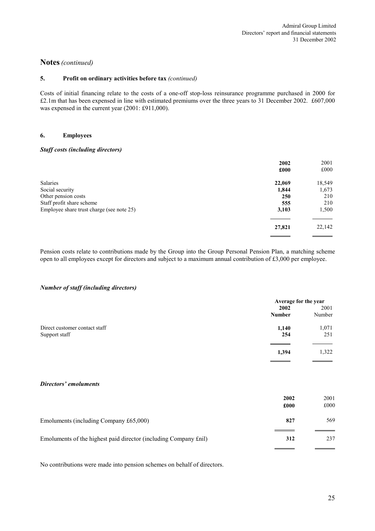#### **5. Profit on ordinary activities before tax** *(continued)*

Costs of initial financing relate to the costs of a one-off stop-loss reinsurance programme purchased in 2000 for £2.1m that has been expensed in line with estimated premiums over the three years to 31 December 2002. £607,000 was expensed in the current year (2001: £911,000).

### **6. Employees**

#### *Staff costs (including directors)*

| 2002<br>£000 | 2001<br>£000           |
|--------------|------------------------|
|              | 18,549                 |
|              | 1,673                  |
| 250          | 210                    |
|              | 210                    |
| 3,103        | 1,500                  |
| 27,821       | 22,142                 |
|              | 22,069<br>1,844<br>555 |

Pension costs relate to contributions made by the Group into the Group Personal Pension Plan, a matching scheme open to all employees except for directors and subject to a maximum annual contribution of £3,000 per employee.

#### *Number of staff (including directors)*

| Average for the year |        |
|----------------------|--------|
| 2002                 | 2001   |
| <b>Number</b>        | Number |
| 1,140                | 1,071  |
| 254                  | 251    |
| 1,394                | 1,322  |
|                      |        |

#### *Directors' emoluments*

|                                                                  | 2002<br>£000 | 2001<br>£000 |
|------------------------------------------------------------------|--------------|--------------|
| Emoluments (including Company £65,000)                           | 827          | 569          |
| Emoluments of the highest paid director (including Company £nil) | 312          | 237          |

No contributions were made into pension schemes on behalf of directors.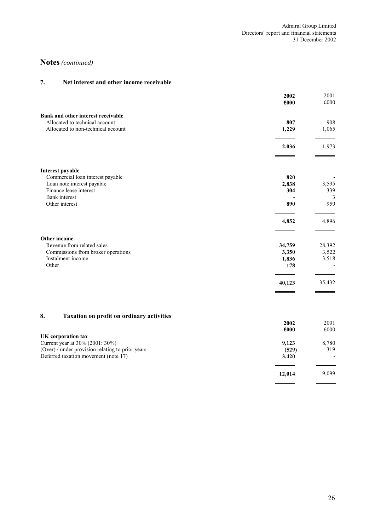# **7. Net interest and other income receivable**

|                                                         | 2002<br>£000   | 2001<br>£000   |
|---------------------------------------------------------|----------------|----------------|
| Bank and other interest receivable                      |                |                |
| Allocated to technical account                          | 807            | 908            |
| Allocated to non-technical account                      | 1,229          | 1,065          |
|                                                         | 2,036          | 1,973          |
| Interest payable                                        |                |                |
| Commercial loan interest payable                        | 820            |                |
| Loan note interest payable<br>Finance lease interest    | 2,838<br>304   | 3,595<br>339   |
| <b>Bank</b> interest                                    |                | 3              |
| Other interest                                          | 890            | 959            |
|                                                         | 4,852          | 4,896          |
| Other income                                            |                |                |
| Revenue from related sales                              | 34,759         | 28,392         |
| Commissions from broker operations<br>Instalment income | 3,350<br>1,836 | 3,522<br>3,518 |
| Other                                                   | 178            |                |
|                                                         | 40,123         | 35,432         |
|                                                         |                |                |
| 8.<br><b>Taxation on profit on ordinary activities</b>  |                |                |
|                                                         | 2002<br>£000   | 2001<br>£000   |
| <b>UK</b> corporation tax                               |                |                |
| Current year at 30% (2001: 30%)                         | 9,123          | 8,780          |
| (Over) / under provision relating to prior years        | (529)          | 319            |
| Deferred taxation movement (note 17)                    | 3,420          |                |
|                                                         | 12,014         | 9,099          |

 $\overline{a}$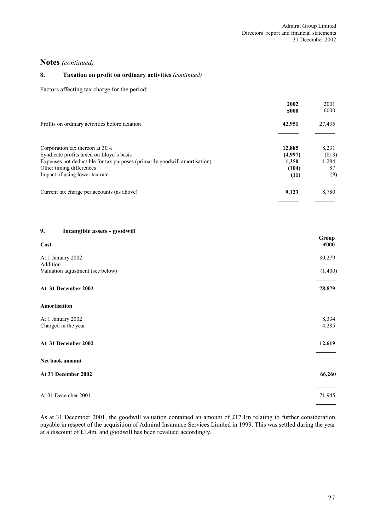### **8. Taxation on profit on ordinary activities** *(continued)*

Factors affecting tax charge for the period:

|                                                                            | 2002<br>£000 | 2001<br>£000 |
|----------------------------------------------------------------------------|--------------|--------------|
| Profits on ordinary activities before taxation                             | 42,951       | 27,435       |
| Corporation tax thereon at 30%                                             | 12,885       | 8,231        |
| Syndicate profits taxed on Lloyd's basis                                   | (4,997)      | (813)        |
| Expenses not deductible for tax purposes (primarily goodwill amortisation) | 1.350        | 1,284        |
| Other timing differences                                                   | (104)        | 87           |
| Impact of using lower tax rate                                             | (11)         | (9)          |
| Current tax charge per accounts (as above)                                 | 9,123        | 8,780        |

### **9. Intangible assets - goodwill**

| $\circ$<br>o<br>Cost                     | Group<br>£000  |
|------------------------------------------|----------------|
| At 1 January 2002<br>Addition            | 80,279         |
| Valuation adjustment (see below)         | (1,400)        |
| At 31 December 2002                      | 78,879         |
| Amortisation                             |                |
| At 1 January 2002<br>Charged in the year | 8,334<br>4,285 |
| At 31 December 2002                      | 12,619         |
| Net book amount                          |                |
| At 31 December 2002                      | 66,260         |
| At 31 December 2001                      | 71,945         |

As at 31 December 2001, the goodwill valuation contained an amount of £17.1m relating to further consideration payable in respect of the acquisition of Admiral Insurance Services Limited in 1999. This was settled during the year at a discount of £1.4m, and goodwill has been revalued accordingly.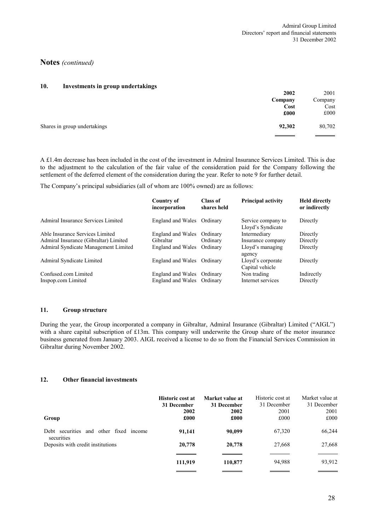#### **10. Investments in group undertakings**

|                              | 2002    | 2001    |
|------------------------------|---------|---------|
|                              | Company | Company |
|                              | Cost    | Cost    |
|                              | £000    | £000    |
| Shares in group undertakings | 92,302  | 80,702  |

A £1.4m decrease has been included in the cost of the investment in Admiral Insurance Services Limited. This is due to the adjustment to the calculation of the fair value of the consideration paid for the Company following the settlement of the deferred element of the consideration during the year. Refer to note 9 for further detail.

The Company's principal subsidiaries (all of whom are 100% owned) are as follows:

|                                       | Country of<br>incorporation | Class of<br>shares held | <b>Principal activity</b>               | <b>Held directly</b><br>or indirectly |
|---------------------------------------|-----------------------------|-------------------------|-----------------------------------------|---------------------------------------|
| Admiral Insurance Services Limited    | England and Wales Ordinary  |                         | Service company to<br>Lloyd's Syndicate | Directly                              |
| Able Insurance Services Limited       | England and Wales Ordinary  |                         | Intermediary                            | Directly                              |
| Admiral Insurance (Gibraltar) Limited | Gibraltar                   | Ordinary                | Insurance company                       | Directly                              |
| Admiral Syndicate Management Limited  | England and Wales Ordinary  |                         | Lloyd's managing<br>agency              | Directly                              |
| Admiral Syndicate Limited             | England and Wales Ordinary  |                         | Lloyd's corporate<br>Capital vehicle    | Directly                              |
| Confused com Limited                  | England and Wales Ordinary  |                         | Non trading                             | Indirectly                            |
| Inspop.com Limited                    | England and Wales Ordinary  |                         | Internet services                       | Directly                              |

#### **11. Group structure**

During the year, the Group incorporated a company in Gibraltar, Admiral Insurance (Gibraltar) Limited ("AIGL") with a share capital subscription of £13m. This company will underwrite the Group share of the motor insurance business generated from January 2003. AIGL received a license to do so from the Financial Services Commission in Gibraltar during November 2002.

#### **12. Other financial investments**

| Group                                           | <b>Historic cost at</b><br>31 December<br>2002<br>£000 | Market value at<br>31 December<br>2002<br>£000 | Historic cost at<br>31 December<br>2001<br>£000 | Market value at<br>31 December<br>2001<br>£000 |
|-------------------------------------------------|--------------------------------------------------------|------------------------------------------------|-------------------------------------------------|------------------------------------------------|
| Debt securities<br>and other fixed income       | 91,141                                                 | 90,099                                         | 67,320                                          | 66,244                                         |
| securities<br>Deposits with credit institutions | 20,778                                                 | 20,778                                         | 27,668                                          | 27,668                                         |
|                                                 | 111,919                                                | 110,877                                        | 94,988                                          | 93,912                                         |
|                                                 |                                                        |                                                |                                                 |                                                |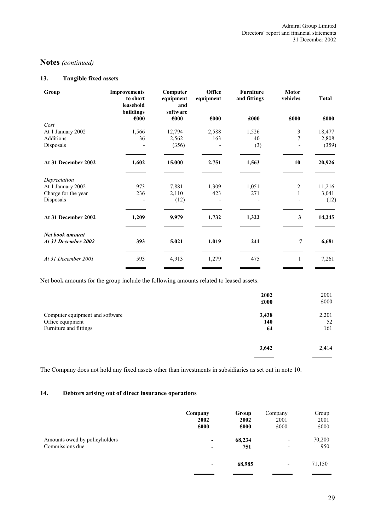### **13. Tangible fixed assets**

| Group                                  | <b>Improvements</b><br>to short<br>leasehold<br>buildings | Computer<br>equipment<br>and<br>software | Office<br>equipment | <b>Furniture</b><br>and fittings | <b>Motor</b><br>vehicles | <b>Total</b> |
|----------------------------------------|-----------------------------------------------------------|------------------------------------------|---------------------|----------------------------------|--------------------------|--------------|
|                                        | £000                                                      | £000                                     | £000                | £000                             | £000                     | £000         |
| Cost                                   |                                                           |                                          |                     |                                  |                          |              |
| At 1 January 2002                      | 1,566                                                     | 12,794                                   | 2,588               | 1,526                            | $\mathfrak{Z}$           | 18,477       |
| <b>Additions</b>                       | 36                                                        | 2,562                                    | 163                 | 40                               | $\overline{7}$           | 2,808        |
| Disposals                              |                                                           | (356)                                    |                     | (3)                              |                          | (359)        |
| At 31 December 2002                    | 1,602                                                     | 15,000                                   | 2,751               | 1,563                            | 10                       | 20,926       |
| Depreciation                           |                                                           |                                          |                     |                                  |                          |              |
| At 1 January 2002                      | 973                                                       | 7,881                                    | 1,309               | 1,051                            | $\overline{c}$           | 11,216       |
| Charge for the year                    | 236                                                       | 2,110                                    | 423                 | 271                              |                          | 3,041        |
| Disposals                              |                                                           | (12)                                     |                     |                                  |                          | (12)         |
| At 31 December 2002                    | 1,209                                                     | 9,979                                    | 1,732               | 1,322                            | 3                        | 14,245       |
| Net book amount<br>At 31 December 2002 | 393                                                       | 5,021                                    | 1,019               | 241                              | 7                        | 6,681        |
| At 31 December 2001                    | 593                                                       | 4,913                                    | 1,279               | 475                              | 1                        | 7,261        |

Net book amounts for the group include the following amounts related to leased assets:

|                                 | 2002<br>£000 | 2001<br>£000 |
|---------------------------------|--------------|--------------|
| Computer equipment and software | 3,438        | 2,201        |
| Office equipment                | 140          | 52           |
| Furniture and fittings          | 64           | 161          |
|                                 |              |              |
|                                 | 3,642        | 2,414        |
|                                 |              |              |

The Company does not hold any fixed assets other than investments in subsidiaries as set out in note 10.

### **14. Debtors arising out of direct insurance operations**

|                               | Company | Group  | Company                  | Group  |
|-------------------------------|---------|--------|--------------------------|--------|
|                               | 2002    | 2002   | 2001                     | 2001   |
|                               | £000    | £000   | £000                     | £000   |
| Amounts owed by policyholders | -       | 68,234 | $\overline{\phantom{a}}$ | 70,200 |
| Commissions due               | -       | 751    | $\overline{\phantom{0}}$ | 950    |
|                               | ٠       | 68,985 | $\overline{\phantom{a}}$ | 71,150 |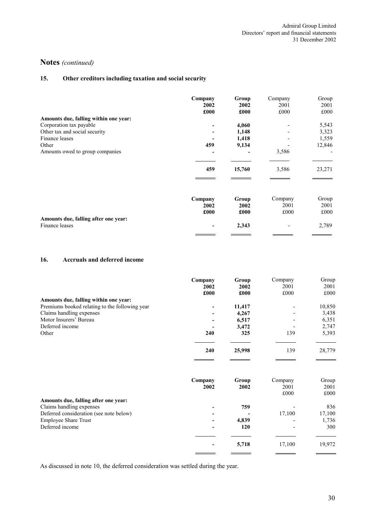# **15. Other creditors including taxation and social security**

| £000          |
|---------------|
|               |
| 5,543         |
| 3,323         |
| 1,559         |
| 12,846        |
|               |
| 23,271        |
| Group<br>2001 |
| £000          |
|               |
| 2,789         |
|               |

# **16. Accruals and deferred income**

|                                                | Company                  | Group  | Company | Group  |
|------------------------------------------------|--------------------------|--------|---------|--------|
|                                                | 2002                     | 2002   | 2001    | 2001   |
|                                                | £000                     | £000   | £000    | £000   |
| Amounts due, falling within one year:          |                          |        |         |        |
| Premiums booked relating to the following year |                          | 11.417 |         | 10,850 |
| Claims handling expenses                       |                          | 4,267  |         | 3,438  |
| Motor Insurers' Bureau                         | $\overline{\phantom{a}}$ | 6,517  |         | 6,351  |
| Deferred income                                |                          | 3,472  |         | 2,747  |
| Other                                          | 240                      | 325    | 139     | 5,393  |
|                                                | 240                      | 25,998 | 139     | 28,779 |

|                                         | Company<br>2002          | Group<br>2002 | Company<br>2001<br>£000 | Group<br>2001<br>£000 |
|-----------------------------------------|--------------------------|---------------|-------------------------|-----------------------|
| Amounts due, falling after one year:    |                          |               |                         |                       |
| Claims handling expenses                |                          | 759           |                         | 836                   |
| Deferred consideration (see note below) |                          |               | 17,100                  | 17,100                |
| <b>Employee Share Trust</b>             |                          | 4,839         |                         | 1,736                 |
| Deferred income                         |                          | 120           |                         | 300                   |
|                                         |                          |               |                         |                       |
|                                         | $\overline{\phantom{0}}$ | 5,718         | 17,100                  | 19,972                |

As discussed in note 10, the deferred consideration was settled during the year.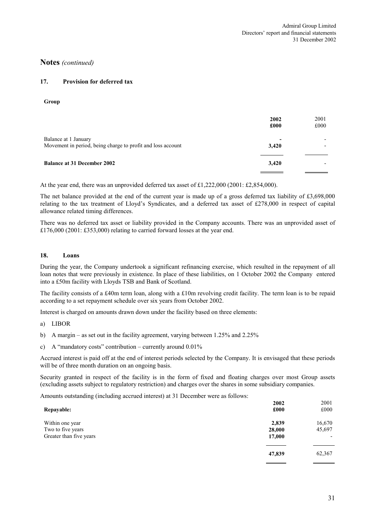#### **17. Provision for deferred tax**

**Group**

|                                                                                     | 2002<br>£000 | 2001<br>£000 |
|-------------------------------------------------------------------------------------|--------------|--------------|
| Balance at 1 January<br>Movement in period, being charge to profit and loss account | 3,420        |              |
| <b>Balance at 31 December 2002</b>                                                  | 3,420        |              |

At the year end, there was an unprovided deferred tax asset of £1,222,000 (2001: £2,854,000).

The net balance provided at the end of the current year is made up of a gross deferred tax liability of £3,698,000 relating to the tax treatment of Lloyd's Syndicates, and a deferred tax asset of £278,000 in respect of capital allowance related timing differences.

There was no deferred tax asset or liability provided in the Company accounts. There was an unprovided asset of £176,000 (2001: £353,000) relating to carried forward losses at the year end.

#### **18. Loans**

During the year, the Company undertook a significant refinancing exercise, which resulted in the repayment of all loan notes that were previously in existence. In place of these liabilities, on 1 October 2002 the Company entered into a £50m facility with Lloyds TSB and Bank of Scotland.

The facility consists of a £40m term loan, along with a £10m revolving credit facility. The term loan is to be repaid according to a set repayment schedule over six years from October 2002.

Interest is charged on amounts drawn down under the facility based on three elements:

- a) LIBOR
- b) A margin as set out in the facility agreement, varying between 1.25% and 2.25%
- c) A "mandatory costs" contribution currently around  $0.01\%$

Accrued interest is paid off at the end of interest periods selected by the Company. It is envisaged that these periods will be of three month duration on an ongoing basis.

Security granted in respect of the facility is in the form of fixed and floating charges over most Group assets (excluding assets subject to regulatory restriction) and charges over the shares in some subsidiary companies.

Amounts outstanding (including accrued interest) at 31 December were as follows:

| <b>Repayable:</b>       | 2002<br>£000 | 2001<br>£000 |
|-------------------------|--------------|--------------|
| Within one year         | 2,839        | 16,670       |
| Two to five years       | 28,000       | 45,697       |
| Greater than five years | 17,000       | ۰            |
|                         | 47,839       | 62,367       |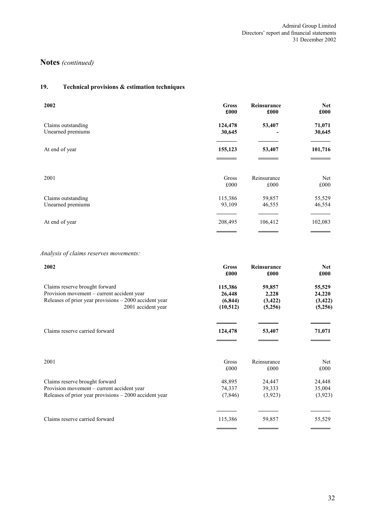# **19. Technical provisions & estimation techniques**

| 2002               | <b>Gross</b> | Reinsurance | <b>Net</b> |
|--------------------|--------------|-------------|------------|
|                    | £000         | £000        | £000       |
| Claims outstanding | 124,478      | 53,407      | 71,071     |
| Unearned premiums  | 30,645       |             | 30,645     |
| At end of year     | 155,123      | 53,407      | 101,716    |
| 2001               | Gross        | Reinsurance | Net        |
|                    | £000         | £000        | £000       |
| Claims outstanding | 115,386      | 59,857      | 55,529     |
| Unearned premiums  | 93,109       | 46,555      | 46,554     |
| At end of year     | 208,495      | 106,412     | 102,083    |

# *Analysis of claims reserves movements:*

| 2002                                                    | <b>Gross</b> | Reinsurance | <b>Net</b> |
|---------------------------------------------------------|--------------|-------------|------------|
|                                                         | £000         | £000        | £000       |
| Claims reserve brought forward                          | 115,386      | 59,857      | 55,529     |
| Provision movement – current accident year              | 26,448       | 2,228       | 24,220     |
| Releases of prior year provisions $-2000$ accident year | (6, 844)     | (3, 422)    | (3, 422)   |
| 2001 accident year                                      | (10, 512)    | (5,256)     | (5,256)    |
| Claims reserve carried forward                          | 124,478      | 53,407      | 71,071     |
| 2001                                                    | Gross        | Reinsurance | Net        |
|                                                         | £000         | £000        | £000       |
| Claims reserve brought forward                          | 48,895       | 24,447      | 24,448     |
| Provision movement – current accident year              | 74,337       | 39,333      | 35,004     |
| Releases of prior year provisions $-2000$ accident year | (7, 846)     | (3,923)     | (3,923)    |
| Claims reserve carried forward                          | 115,386      | 59,857      | 55,529     |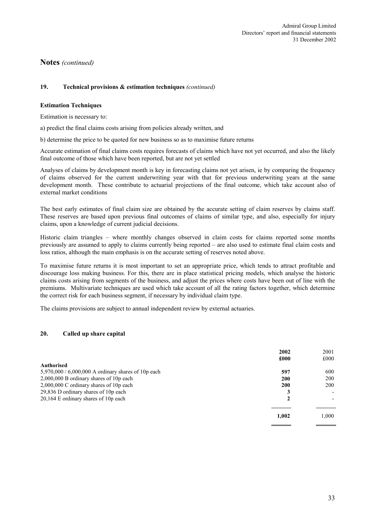#### **19. Technical provisions & estimation techniques** *(continued)*

#### **Estimation Techniques**

Estimation is necessary to:

a) predict the final claims costs arising from policies already written, and

b) determine the price to be quoted for new business so as to maximise future returns

Accurate estimation of final claims costs requires forecasts of claims which have not yet occurred, and also the likely final outcome of those which have been reported, but are not yet settled

Analyses of claims by development month is key in forecasting claims not yet arisen, ie by comparing the frequency of claims observed for the current underwriting year with that for previous underwriting years at the same development month. These contribute to actuarial projections of the final outcome, which take account also of external market conditions

The best early estimates of final claim size are obtained by the accurate setting of claim reserves by claims staff. These reserves are based upon previous final outcomes of claims of similar type, and also, especially for injury claims, upon a knowledge of current judicial decisions.

Historic claim triangles – where monthly changes observed in claim costs for claims reported some months previously are assumed to apply to claims currently being reported – are also used to estimate final claim costs and loss ratios, although the main emphasis is on the accurate setting of reserves noted above.

To maximise future returns it is most important to set an appropriate price, which tends to attract profitable and discourage loss making business. For this, there are in place statistical pricing models, which analyse the historic claims costs arising from segments of the business, and adjust the prices where costs have been out of line with the premiums. Multivariate techniques are used which take account of all the rating factors together, which determine the correct risk for each business segment, if necessary by individual claim type.

The claims provisions are subject to annual independent review by external actuaries.

#### **20. Called up share capital**

|                                                     | 2002  | 2001  |
|-----------------------------------------------------|-------|-------|
|                                                     | £000  | £000  |
| <b>Authorised</b>                                   |       |       |
| 5,970,000 / 6,000,000 A ordinary shares of 10p each | 597   | 600   |
| $2,000,000$ B ordinary shares of 10p each           | 200   | 200   |
| 2,000,000 C ordinary shares of 10p each             | 200   | 200   |
| 29,836 D ordinary shares of 10p each                | 3     |       |
| $20,164$ E ordinary shares of 10p each              | 2     |       |
|                                                     | 1,002 | 1,000 |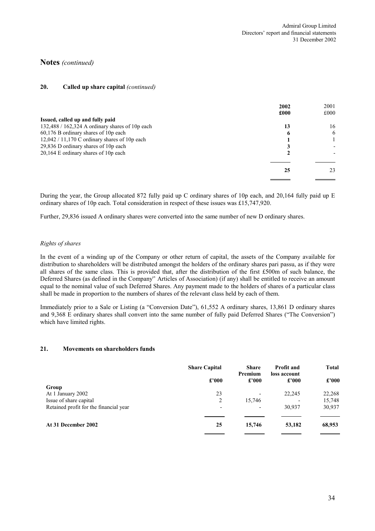#### **20. Called up share capital** *(continued)*

|                                                   | 2002 | 2001 |
|---------------------------------------------------|------|------|
|                                                   | £000 | £000 |
| Issued, called up and fully paid                  |      |      |
| $132,488 / 162,324$ A ordinary shares of 10p each | 13   | 16   |
| 60,176 B ordinary shares of 10p each              | o    | 6    |
| $12,042 / 11,170$ C ordinary shares of 10p each   |      |      |
| 29,836 D ordinary shares of 10p each              |      |      |
| $20,164$ E ordinary shares of 10p each            |      |      |
|                                                   |      |      |
|                                                   | 25   | 23   |
|                                                   |      |      |

During the year, the Group allocated 872 fully paid up C ordinary shares of 10p each, and 20,164 fully paid up E ordinary shares of 10p each. Total consideration in respect of these issues was £15,747,920.

Further, 29,836 issued A ordinary shares were converted into the same number of new D ordinary shares.

#### *Rights of shares*

In the event of a winding up of the Company or other return of capital, the assets of the Company available for distribution to shareholders will be distributed amongst the holders of the ordinary shares pari passu, as if they were all shares of the same class. This is provided that, after the distribution of the first £500m of such balance, the Deferred Shares (as defined in the Company'' Articles of Association) (if any) shall be entitled to receive an amount equal to the nominal value of such Deferred Shares. Any payment made to the holders of shares of a particular class shall be made in proportion to the numbers of shares of the relevant class held by each of them.

Immediately prior to a Sale or Listing (a "Conversion Date"), 61,552 A ordinary shares, 13,861 D ordinary shares and 9,368 E ordinary shares shall convert into the same number of fully paid Deferred Shares ("The Conversion") which have limited rights.

#### **21. Movements on shareholders funds**

|                                        | <b>Share Capital</b> | <b>Share</b>             | <b>Profit and</b>        | <b>Total</b> |
|----------------------------------------|----------------------|--------------------------|--------------------------|--------------|
|                                        | £'000                | Premium<br>£'000         | loss account<br>£'000    | £'000        |
| Group                                  |                      |                          |                          |              |
| At 1 January 2002                      | 23                   | $\overline{\phantom{a}}$ | 22,245                   | 22,268       |
| Issue of share capital                 | 2                    | 15,746                   | $\overline{\phantom{a}}$ | 15,748       |
| Retained profit for the financial year | ٠                    | $\overline{\phantom{a}}$ | 30,937                   | 30,937       |
| At 31 December 2002                    | 25                   | 15,746                   | 53,182                   | 68,953       |
|                                        |                      |                          |                          |              |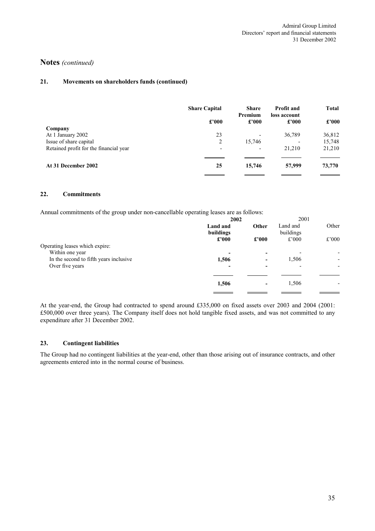### **21. Movements on shareholders funds (continued)**

|                          |                          | £'000                    | £'000  |
|--------------------------|--------------------------|--------------------------|--------|
|                          |                          |                          |        |
| 23                       | $\overline{\phantom{a}}$ | 36,789                   | 36,812 |
| 2                        | 15,746                   | $\overline{\phantom{0}}$ | 15,748 |
| $\overline{\phantom{a}}$ | $\overline{\phantom{a}}$ | 21,210                   | 21,210 |
| 25                       | 15,746                   | 57,999                   | 73,770 |
|                          |                          | £'000<br>£'000           |        |

#### **22. Commitments**

Annual commitments of the group under non-cancellable operating leases are as follows:

| 2002                     |                          | 2001                  |       |
|--------------------------|--------------------------|-----------------------|-------|
| Land and<br>buildings    | Other                    | Land and<br>buildings | Other |
| $\pounds$ '000           | £'000                    | £'000                 | £'000 |
| $\overline{\phantom{0}}$ | $\overline{\phantom{0}}$ |                       | ۰     |
| 1,506                    | ۰                        | 1,506                 | ۰     |
| ۰                        | -                        |                       |       |
| 1,506                    | $\overline{\phantom{a}}$ | 1,506                 |       |
|                          |                          |                       |       |

At the year-end, the Group had contracted to spend around £335,000 on fixed assets over 2003 and 2004 (2001: £500,000 over three years). The Company itself does not hold tangible fixed assets, and was not committed to any expenditure after 31 December 2002.

#### **23. Contingent liabilities**

The Group had no contingent liabilities at the year-end, other than those arising out of insurance contracts, and other agreements entered into in the normal course of business.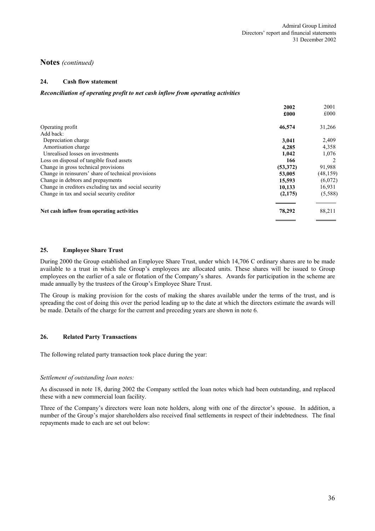### **24. Cash flow statement**

#### *Reconciliation of operating profit to net cash inflow from operating activities*

|                                                       | 2002     | 2001      |
|-------------------------------------------------------|----------|-----------|
|                                                       | £000     | £000      |
| Operating profit                                      | 46,574   | 31,266    |
| Add back:                                             |          |           |
| Depreciation charge                                   | 3,041    | 2,409     |
| Amortisation charge                                   | 4,285    | 4,358     |
| Unrealised losses on investments                      | 1,042    | 1,076     |
| Loss on disposal of tangible fixed assets             | 166      |           |
| Change in gross technical provisions                  | (53,372) | 91,988    |
| Change in reinsurers' share of technical provisions   | 53,005   | (48, 159) |
| Change in debtors and prepayments                     | 15,593   | (6,072)   |
| Change in creditors excluding tax and social security | 10,133   | 16,931    |
| Change in tax and social security creditor            | (2,175)  | (5,588)   |
| Net cash inflow from operating activities             | 78,292   | 88,211    |
|                                                       |          |           |

#### **25. Employee Share Trust**

During 2000 the Group established an Employee Share Trust, under which 14,706 C ordinary shares are to be made available to a trust in which the Group's employees are allocated units. These shares will be issued to Group employees on the earlier of a sale or flotation of the Company's shares. Awards for participation in the scheme are made annually by the trustees of the Group's Employee Share Trust.

The Group is making provision for the costs of making the shares available under the terms of the trust, and is spreading the cost of doing this over the period leading up to the date at which the directors estimate the awards will be made. Details of the charge for the current and preceding years are shown in note 6.

### **26. Related Party Transactions**

The following related party transaction took place during the year:

#### *Settlement of outstanding loan notes:*

As discussed in note 18, during 2002 the Company settled the loan notes which had been outstanding, and replaced these with a new commercial loan facility.

Three of the Company's directors were loan note holders, along with one of the director's spouse. In addition, a number of the Group's major shareholders also received final settlements in respect of their indebtedness. The final repayments made to each are set out below: